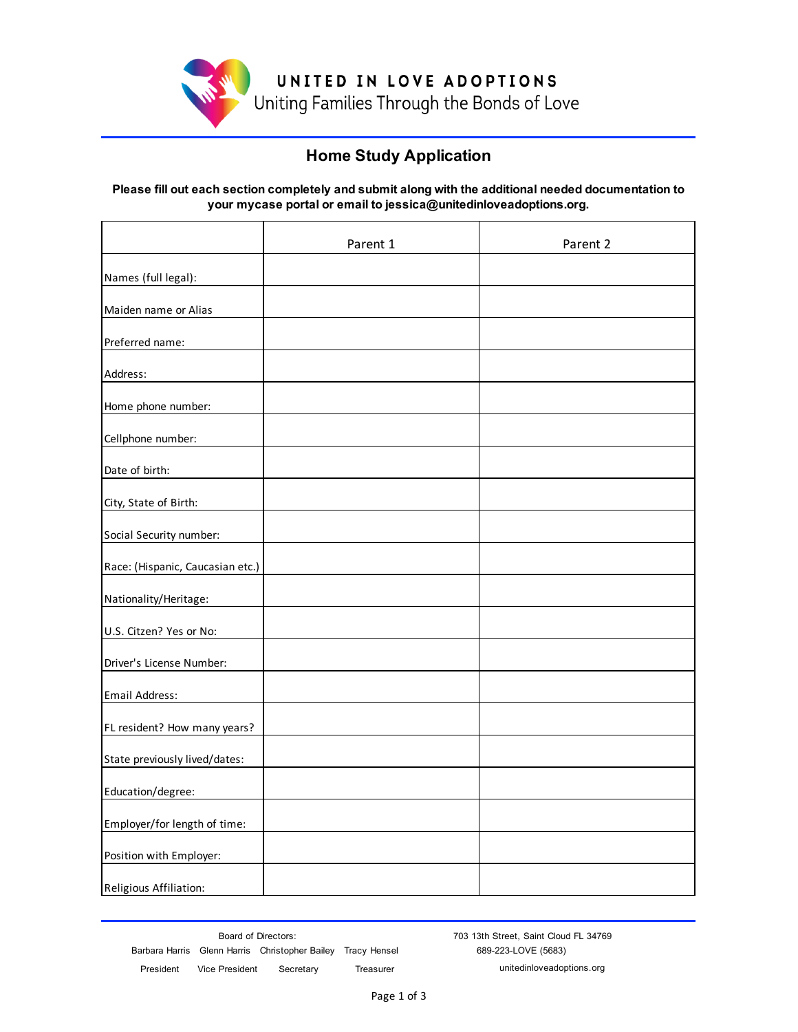

UNITED IN LOVE ADOPTIONS Uniting Families Through the Bonds of Love

### **Home Study Application**

#### **Please fill out each section completely and submit along with the additional needed documentation to your mycase portal or email to jessica@unitedinloveadoptions.org.**

|                                  | Parent 1 | Parent 2 |
|----------------------------------|----------|----------|
| Names (full legal):              |          |          |
| Maiden name or Alias             |          |          |
| Preferred name:                  |          |          |
| Address:                         |          |          |
| Home phone number:               |          |          |
| Cellphone number:                |          |          |
| Date of birth:                   |          |          |
| City, State of Birth:            |          |          |
| Social Security number:          |          |          |
| Race: (Hispanic, Caucasian etc.) |          |          |
| Nationality/Heritage:            |          |          |
| U.S. Citzen? Yes or No:          |          |          |
| Driver's License Number:         |          |          |
| Email Address:                   |          |          |
| FL resident? How many years?     |          |          |
| State previously lived/dates:    |          |          |
| Education/degree:                |          |          |
| Employer/for length of time:     |          |          |
| Position with Employer:          |          |          |
| Religious Affiliation:           |          |          |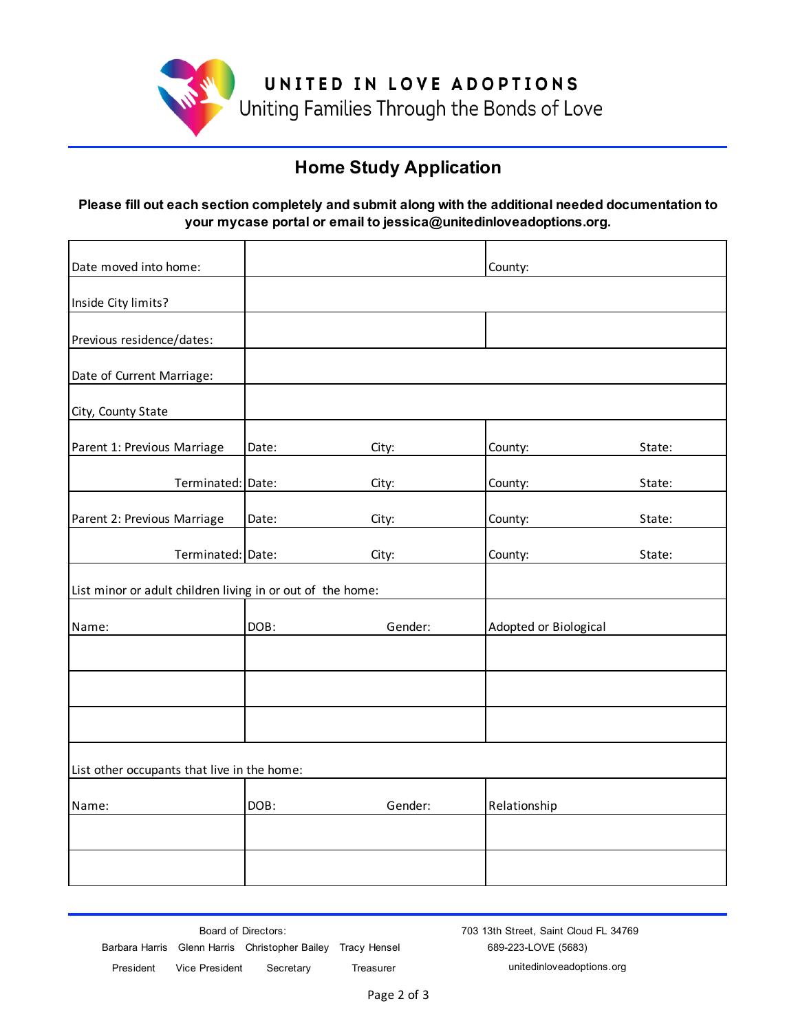

## **Home Study Application**

#### **Please fill out each section completely and submit along with the additional needed documentation to your mycase portal or email to jessica@unitedinloveadoptions.org.**

| Date moved into home:                                      |       |         | County:               |        |
|------------------------------------------------------------|-------|---------|-----------------------|--------|
| Inside City limits?                                        |       |         |                       |        |
| Previous residence/dates:                                  |       |         |                       |        |
| Date of Current Marriage:                                  |       |         |                       |        |
| City, County State                                         |       |         |                       |        |
| Parent 1: Previous Marriage                                | Date: | City:   | County:               | State: |
| Terminated: Date:                                          |       | City:   | County:               | State: |
| Parent 2: Previous Marriage                                | Date: | City:   | County:               | State: |
| Terminated: Date:                                          |       | City:   | County:               | State: |
| List minor or adult children living in or out of the home: |       |         |                       |        |
| Name:                                                      | DOB:  | Gender: | Adopted or Biological |        |
|                                                            |       |         |                       |        |
|                                                            |       |         |                       |        |
|                                                            |       |         |                       |        |
| List other occupants that live in the home:                |       |         |                       |        |
| Name:                                                      | DOB:  | Gender: | Relationship          |        |
|                                                            |       |         |                       |        |
|                                                            |       |         |                       |        |

 President Vice President Secretary Treasurer unitedinloveadoptions.org Barbara Harris Glenn Harris Christopher Bailey Tracy Hensel 689-223-LOVE (5683) Board of Directors: The Street, Saint Cloud FL 34769